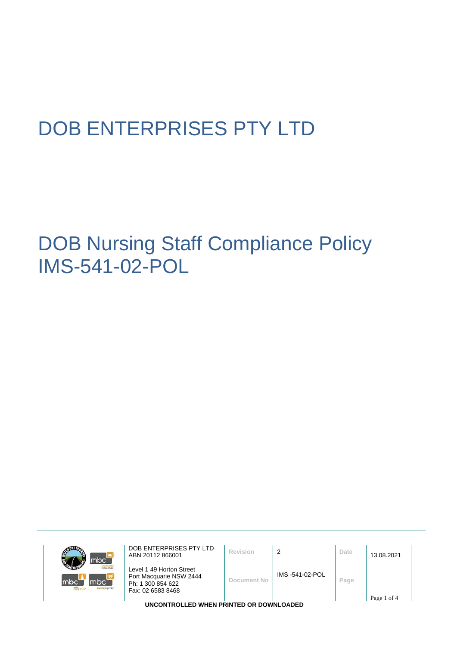# DOB ENTERPRISES PTY LTD

DOB Nursing Staff Compliance Policy IMS-541-02-POL

|                         | mbc                        |
|-------------------------|----------------------------|
| <b>CRAFTIC CONTE</b>    | mno<br><b>Iclocur hire</b> |
| mbc<br>mtc<br>rorrunnen | mbc<br>sursing agency      |

DOB ENTERPRISES PTY LTD ABN 20112 866001 **Revision** <sup>2</sup> **Date** 13.08.2021 Level 1 49 Horton Street Port Macquarie NSW 2444 Ph: 1 300 854 622 Fax: 02 6583 8468 **Document No** IMS -541-02-POL **Page** Page 1 of 4

**UNCONTROLLED WHEN PRINTED OR DOWNLOADED**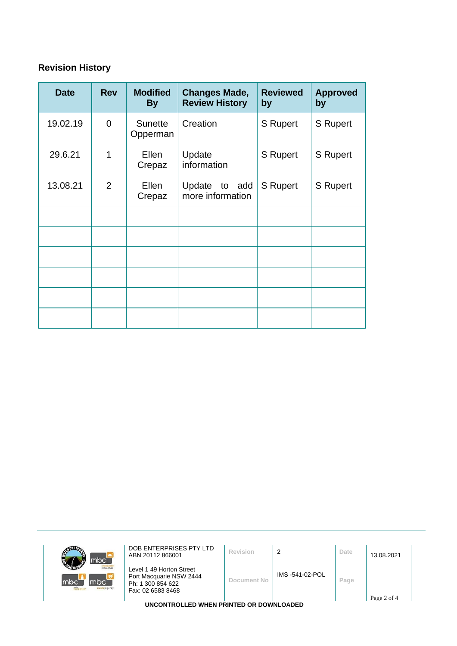# **Revision History**

| <b>Date</b> | <b>Rev</b>     | <b>Modified</b><br><b>By</b> | <b>Changes Made,</b><br><b>Review History</b> | <b>Reviewed</b><br>by | <b>Approved</b><br>by |
|-------------|----------------|------------------------------|-----------------------------------------------|-----------------------|-----------------------|
| 19.02.19    | $\overline{0}$ | <b>Sunette</b><br>Opperman   | Creation                                      | <b>S</b> Rupert       | <b>S</b> Rupert       |
| 29.6.21     | 1              | Ellen<br>Crepaz              | Update<br>information                         | S Rupert              | S Rupert              |
| 13.08.21    | $\overline{2}$ | Ellen<br>Crepaz              | Update to add<br>more information             | <b>S</b> Rupert       | S Rupert              |
|             |                |                              |                                               |                       |                       |
|             |                |                              |                                               |                       |                       |
|             |                |                              |                                               |                       |                       |
|             |                |                              |                                               |                       |                       |
|             |                |                              |                                               |                       |                       |
|             |                |                              |                                               |                       |                       |

| mbc <sup>-</sup>                                                                | DOB ENTERPRISES PTY LTD<br>ABN 20112 866001                                                   | Revision    | 2              | Date | 13.08.2021  |
|---------------------------------------------------------------------------------|-----------------------------------------------------------------------------------------------|-------------|----------------|------|-------------|
| <b>Icloour hire</b><br>mbc`<br>Imbo<br>m <sub>tc</sub><br><b>TUrsing agency</b> | Level 1 49 Horton Street<br>Port Macquarie NSW 2444<br>Ph: 1 300 854 622<br>Fax: 02 6583 8468 | Document No | IMS-541-02-POL | Page |             |
|                                                                                 |                                                                                               |             |                |      | Page 2 of 4 |
| UNCONTROLLED WHEN PRINTED OR DOWNLOADED                                         |                                                                                               |             |                |      |             |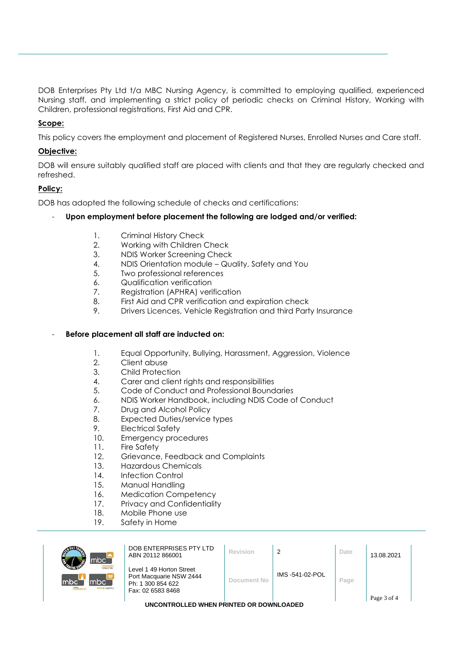DOB Enterprises Pty Ltd t/a MBC Nursing Agency, is committed to employing qualified, experienced Nursing staff, and implementing a strict policy of periodic checks on Criminal History, Working with Children, professional registrations, First Aid and CPR.

# **Scope:**

This policy covers the employment and placement of Registered Nurses, Enrolled Nurses and Care staff.

# **Objective:**

DOB will ensure suitably qualified staff are placed with clients and that they are regularly checked and refreshed.

## **Policy:**

DOB has adopted the following schedule of checks and certifications:

## - **Upon employment before placement the following are lodged and/or verified:**

- 1. Criminal History Check
- 2. Working with Children Check
- 3. NDIS Worker Screening Check
- 4. NDIS Orientation module Quality, Safety and You
- 5. Two professional references
- 6. Qualification verification
- 7. Registration (APHRA) verification
- 8. First Aid and CPR verification and expiration check
- 9. Drivers Licences, Vehicle Registration and third Party Insurance

#### - **Before placement all staff are inducted on:**

- 1. Equal Opportunity, Bullying, Harassment, Aggression, Violence
- 2. Client abuse
- 3. Child Protection
- 4. Carer and client rights and responsibilities
- 5. Code of Conduct and Professional Boundaries
- 6. NDIS Worker Handbook, including NDIS Code of Conduct
- 7. Drug and Alcohol Policy
- 8. Expected Duties/service types
- 9. Electrical Safety
- 10. Emergency procedures
- 11. Fire Safety
- 12. Grievance, Feedback and Complaints
- 13. Hazardous Chemicals
- 14. Infection Control
- 15. Manual Handling
- 16. Medication Competency
- 17. Privacy and Confidentiality
- 18. Mobile Phone use
- 19. Safety in Home

| mbc <sup>-</sup>                              | DOB ENTERPRISES PTY LTD<br>ABN 20112 866001                                                   | Revision    |                 | Date | 13.08.2021  |  |
|-----------------------------------------------|-----------------------------------------------------------------------------------------------|-------------|-----------------|------|-------------|--|
| macquan<br>mbc <sup>'</sup><br>sursing agency | Level 1 49 Horton Street<br>Port Macquarie NSW 2444<br>Ph: 1 300 854 622<br>Fax: 02 6583 8468 | Document No | IMS -541-02-POL | Page | Page 3 of 4 |  |
| UNCONTROLLED WHEN PRINTED OR DOWNLOADED       |                                                                                               |             |                 |      |             |  |